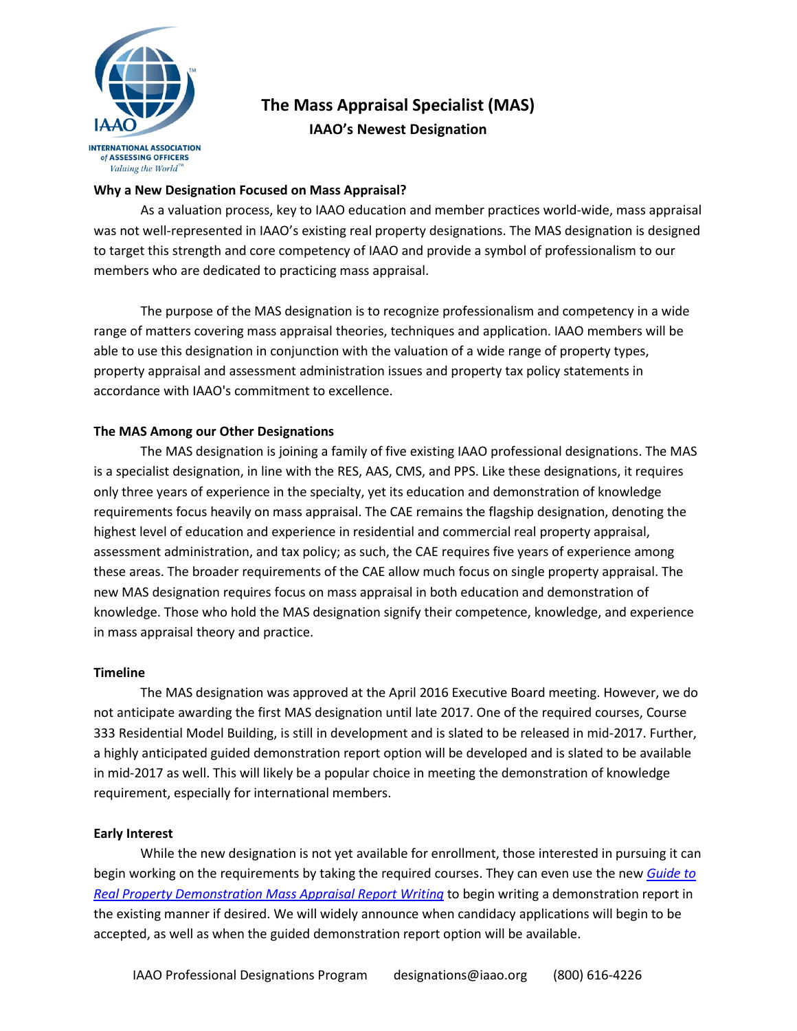

# **The Mass Appraisal Specialist (MAS) IAAO's Newest Designation**

# **Why a New Designation Focused on Mass Appraisal?**

As a valuation process, key to IAAO education and member practices world-wide, mass appraisal was not well-represented in IAAO's existing real property designations. The MAS designation is designed to target this strength and core competency of IAAO and provide a symbol of professionalism to our members who are dedicated to practicing mass appraisal.

The purpose of the MAS designation is to recognize professionalism and competency in a wide range of matters covering mass appraisal theories, techniques and application. IAAO members will be able to use this designation in conjunction with the valuation of a wide range of property types, property appraisal and assessment administration issues and property tax policy statements in accordance with IAAO's commitment to excellence.

# **The MAS Among our Other Designations**

The MAS designation is joining a family of five existing IAAO professional designations. The MAS is a specialist designation, in line with the RES, AAS, CMS, and PPS. Like these designations, it requires only three years of experience in the specialty, yet its education and demonstration of knowledge requirements focus heavily on mass appraisal. The CAE remains the flagship designation, denoting the highest level of education and experience in residential and commercial real property appraisal, assessment administration, and tax policy; as such, the CAE requires five years of experience among these areas. The broader requirements of the CAE allow much focus on single property appraisal. The new MAS designation requires focus on mass appraisal in both education and demonstration of knowledge. Those who hold the MAS designation signify their competence, knowledge, and experience in mass appraisal theory and practice.

#### **Timeline**

The MAS designation was approved at the April 2016 Executive Board meeting. However, we do not anticipate awarding the first MAS designation until late 2017. One of the required courses, Course 333 Residential Model Building, is still in development and is slated to be released in mid-2017. Further, a highly anticipated guided demonstration report option will be developed and is slated to be available in mid-2017 as well. This will likely be a popular choice in meeting the demonstration of knowledge requirement, especially for international members.

#### **Early Interest**

While the new designation is not yet available for enrollment, those interested in pursuing it can begin working on the requirements by taking the required courses. They can even use the new *[Guide to](http://www.iaao.org/media/designation/Demo_Report_Guide-Mass.pdf)  [Real Property Demonstration Mass Appraisal Report Writing](http://www.iaao.org/media/designation/Demo_Report_Guide-Mass.pdf)* to begin writing a demonstration report in the existing manner if desired. We will widely announce when candidacy applications will begin to be accepted, as well as when the guided demonstration report option will be available.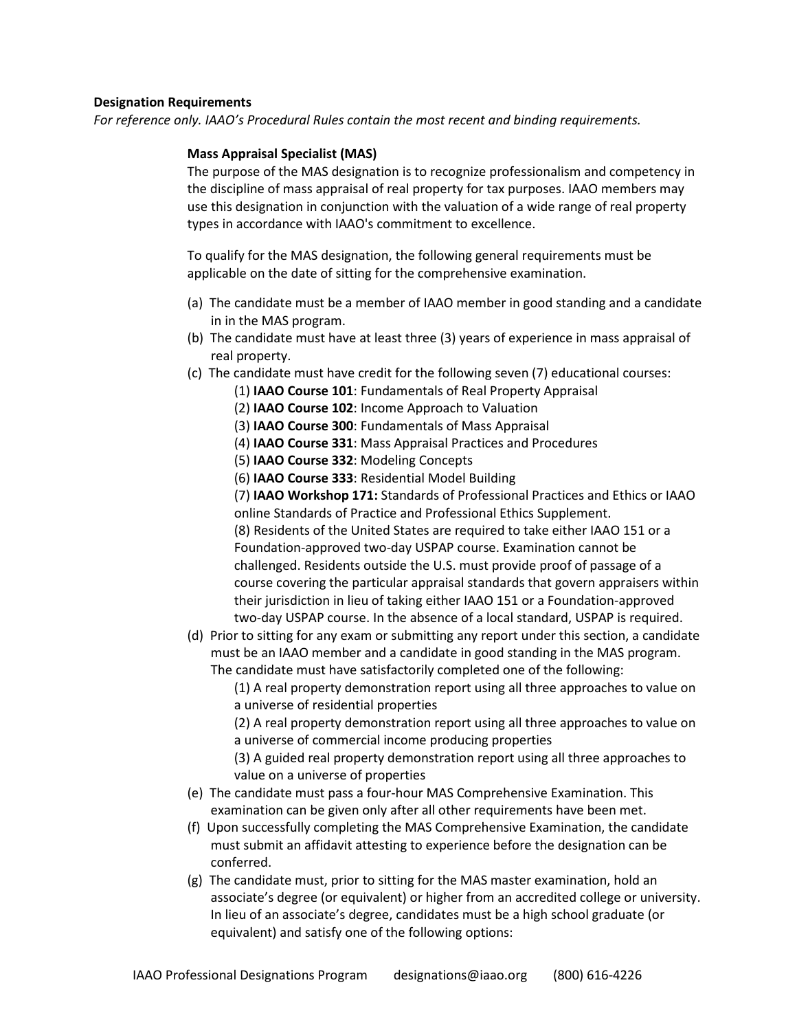# **Designation Requirements**

*For reference only. IAAO's Procedural Rules contain the most recent and binding requirements.*

# **Mass Appraisal Specialist (MAS)**

The purpose of the MAS designation is to recognize professionalism and competency in the discipline of mass appraisal of real property for tax purposes. IAAO members may use this designation in conjunction with the valuation of a wide range of real property types in accordance with IAAO's commitment to excellence.

To qualify for the MAS designation, the following general requirements must be applicable on the date of sitting for the comprehensive examination.

- (a) The candidate must be a member of IAAO member in good standing and a candidate in in the MAS program.
- (b) The candidate must have at least three (3) years of experience in mass appraisal of real property.
- (c) The candidate must have credit for the following seven (7) educational courses:
	- (1) **IAAO Course 101**: Fundamentals of Real Property Appraisal
	- (2) **IAAO Course 102**: Income Approach to Valuation
	- (3) **IAAO Course 300**: Fundamentals of Mass Appraisal
	- (4) **IAAO Course 331**: Mass Appraisal Practices and Procedures
	- (5) **IAAO Course 332**: Modeling Concepts

(6) **IAAO Course 333**: Residential Model Building

(7) **IAAO Workshop 171:** Standards of Professional Practices and Ethics or IAAO online Standards of Practice and Professional Ethics Supplement. (8) Residents of the United States are required to take either IAAO 151 or a Foundation-approved two-day USPAP course. Examination cannot be challenged. Residents outside the U.S. must provide proof of passage of a course covering the particular appraisal standards that govern appraisers within their jurisdiction in lieu of taking either IAAO 151 or a Foundation-approved two-day USPAP course. In the absence of a local standard, USPAP is required.

(d) Prior to sitting for any exam or submitting any report under this section, a candidate must be an IAAO member and a candidate in good standing in the MAS program. The candidate must have satisfactorily completed one of the following:

(1) A real property demonstration report using all three approaches to value on a universe of residential properties

(2) A real property demonstration report using all three approaches to value on a universe of commercial income producing properties

(3) A guided real property demonstration report using all three approaches to value on a universe of properties

- (e) The candidate must pass a four-hour MAS Comprehensive Examination. This examination can be given only after all other requirements have been met.
- (f) Upon successfully completing the MAS Comprehensive Examination, the candidate must submit an affidavit attesting to experience before the designation can be conferred.
- (g) The candidate must, prior to sitting for the MAS master examination, hold an associate's degree (or equivalent) or higher from an accredited college or university. In lieu of an associate's degree, candidates must be a high school graduate (or equivalent) and satisfy one of the following options: